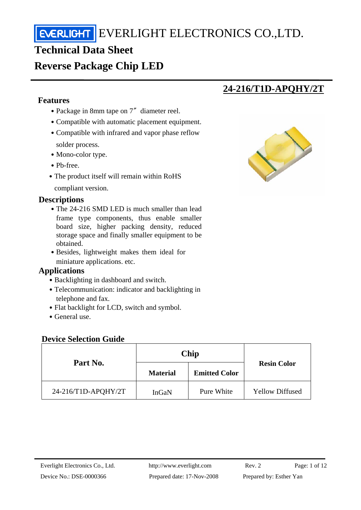# **Technical Data Sheet**

# **Reverse Package Chip LED**

#### **Features**

- Package in 8mm tape on 7<sup>"</sup> diameter reel.
- Compatible with automatic placement equipment.
- Compatible with infrared and vapor phase reflow solder process.
- Mono-color type.
- Pb-free.
- The product itself will remain within RoHS

compliant version.

#### **Descriptions**

- The 24-216 SMD LED is much smaller than lead frame type components, thus enable smaller board size, higher packing density, reduced storage space and finally smaller equipment to be obtained.
- Besides, lightweight makes them ideal for miniature applications. etc.

#### **Applications**

- Backlighting in dashboard and switch.
- Telecommunication: indicator and backlighting in telephone and fax.
- Flat backlight for LCD, switch and symbol.
- ․General use.

#### **Device Selection Guide**

|                     | Chip            |                      |                        |  |
|---------------------|-----------------|----------------------|------------------------|--|
| Part No.            | <b>Material</b> | <b>Emitted Color</b> | <b>Resin Color</b>     |  |
| 24-216/T1D-APQHY/2T | InGaN           | Pure White           | <b>Yellow Diffused</b> |  |



**24-216/T1D-APQHY/2T**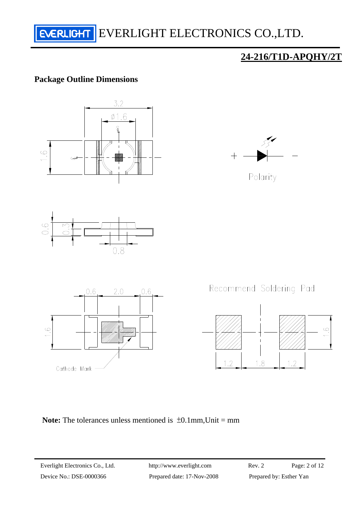

#### **Package Outline Dimensions**



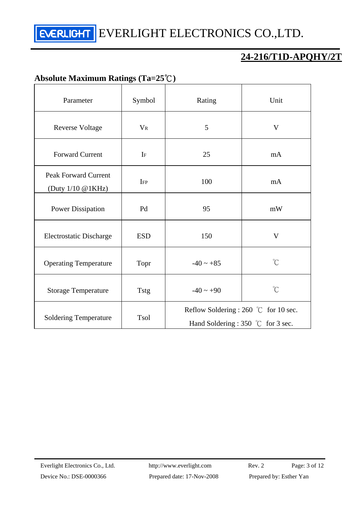## **24-216/T1D-APQHY/2T**

## **Absolute Maximum Ratings (Ta=25**℃**)**

| Parameter                                        | Symbol      | Rating                                                                               | Unit                 |  |
|--------------------------------------------------|-------------|--------------------------------------------------------------------------------------|----------------------|--|
| <b>Reverse Voltage</b>                           | $V_{R}$     | 5                                                                                    | V                    |  |
| <b>Forward Current</b>                           | $\rm I$ F   | 25                                                                                   | mA                   |  |
| <b>Peak Forward Current</b><br>(Duty 1/10 @1KHz) | IFP         | 100                                                                                  | mA                   |  |
| <b>Power Dissipation</b>                         | Pd          | 95                                                                                   | mW                   |  |
| <b>Electrostatic Discharge</b>                   | <b>ESD</b>  | 150                                                                                  | V                    |  |
| <b>Operating Temperature</b>                     | Topr        | $-40 \sim +85$                                                                       | $\mathrm{C}^{\circ}$ |  |
| <b>Storage Temperature</b>                       | <b>Tstg</b> | $-40 \sim +90$                                                                       | $\int_{0}^{\infty}$  |  |
| <b>Soldering Temperature</b>                     | <b>Tsol</b> | Reflow Soldering : 260 °C for 10 sec.<br>Hand Soldering : 350 $\degree$ C for 3 sec. |                      |  |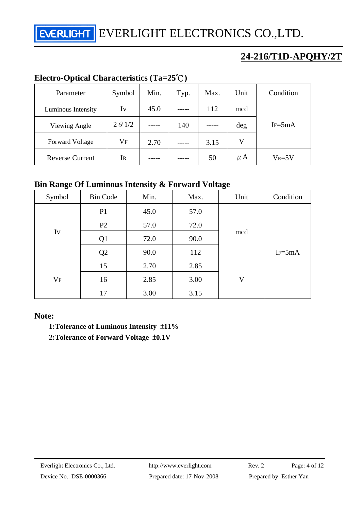**NERLIGHT** EVERLIGHT ELECTRONICS CO., LTD.

## **24-216/T1D-APQHY/2T**

## **Electro-Optical Characteristics (Ta=25**℃**)**

| Parameter              | Symbol         | Min. | Typ. | Max. | Unit    | Condition  |  |
|------------------------|----------------|------|------|------|---------|------------|--|
| Luminous Intensity     | Iv             | 45.0 |      | 112  | mcd     |            |  |
| Viewing Angle          | $2 \theta$ 1/2 |      | 140  |      | deg     | $IF = 5mA$ |  |
| <b>Forward Voltage</b> | $\rm V_F$      | 2.70 |      | 3.15 | V       |            |  |
| <b>Reverse Current</b> | IR             |      |      | 50   | $\mu$ A | $V_R = 5V$ |  |

## **Bin Range Of Luminous Intensity & Forward Voltage**

| ÷<br>Symbol   | <b>Bin Code</b> | Min. | Max. | Unit | Condition  |
|---------------|-----------------|------|------|------|------------|
| Iv<br>$V_{F}$ | P <sub>1</sub>  | 45.0 | 57.0 |      | $IF = 5mA$ |
|               | P2              | 57.0 | 72.0 |      |            |
|               | Q1              | 72.0 | 90.0 | mcd  |            |
|               | Q2              | 90.0 | 112  |      |            |
|               | 15              | 2.70 | 2.85 |      |            |
|               | 16              | 2.85 | 3.00 | V    |            |
|               | 17              | 3.00 | 3.15 |      |            |

#### **Note:**

**1:Tolerance of Luminous Intensity** ±**11%** 

**2:Tolerance of Forward Voltage** ±**0.1V**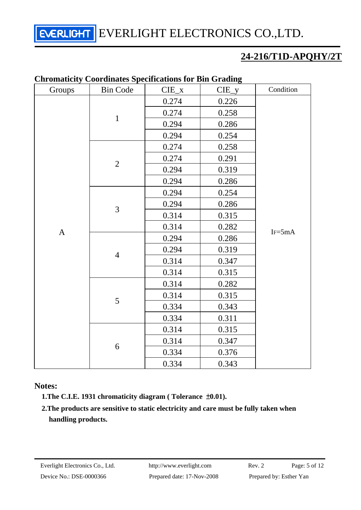## **24-216/T1D-APQHY/2T**

|              | Caromanchy Coorumans Specifications for Din Grading |           |         |            |
|--------------|-----------------------------------------------------|-----------|---------|------------|
| Groups       | <b>Bin Code</b>                                     | $CIE_{X}$ | $CIE_y$ | Condition  |
|              |                                                     | 0.274     | 0.226   |            |
|              | $\mathbf 1$                                         | 0.274     | 0.258   |            |
|              |                                                     | 0.294     | 0.286   |            |
|              |                                                     | 0.294     | 0.254   |            |
|              |                                                     | 0.274     | 0.258   |            |
|              |                                                     | 0.274     | 0.291   |            |
|              | $\sqrt{2}$                                          | 0.294     | 0.319   |            |
|              |                                                     | 0.294     | 0.286   |            |
|              |                                                     | 0.294     | 0.254   |            |
|              | 3                                                   | 0.294     | 0.286   |            |
|              |                                                     | 0.314     | 0.315   |            |
|              |                                                     | 0.314     | 0.282   | $IF = 5mA$ |
| $\mathbf{A}$ | $\overline{4}$                                      | 0.294     | 0.286   |            |
|              |                                                     | 0.294     | 0.319   |            |
|              |                                                     | 0.314     | 0.347   |            |
|              |                                                     | 0.314     | 0.315   |            |
|              | 5                                                   | 0.314     | 0.282   |            |
|              |                                                     | 0.314     | 0.315   |            |
|              |                                                     | 0.334     | 0.343   |            |
|              |                                                     | 0.334     | 0.311   |            |
|              | 6                                                   | 0.314     | 0.315   |            |
|              |                                                     | 0.314     | 0.347   |            |
|              |                                                     | 0.334     | 0.376   |            |
|              |                                                     | 0.334     | 0.343   |            |

#### **Chromaticity Coordinates Specifications for Bin Grading**

**Notes:** 

**1.The C.I.E. 1931 chromaticity diagram ( Tolerance** ±**0.01).** 

**2.The products are sensitive to static electricity and care must be fully taken when handling products.**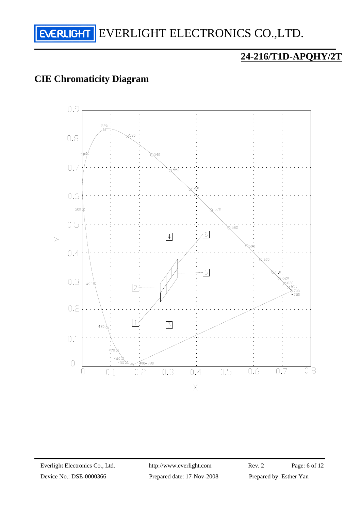

## **CIE Chromaticity Diagram**

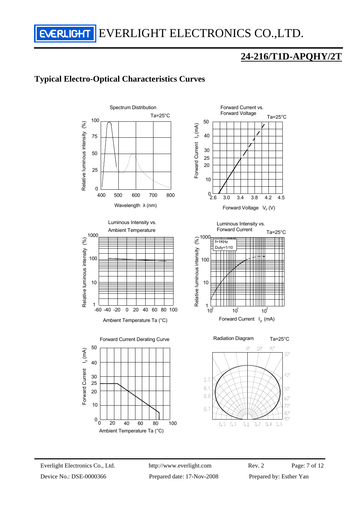## **24-216/T1D-APQHY/2T**

### **Typical Electro-Optical Characteristics Curves**





Ambient Temperature Ta (°C)





Luminous Intensity vs.



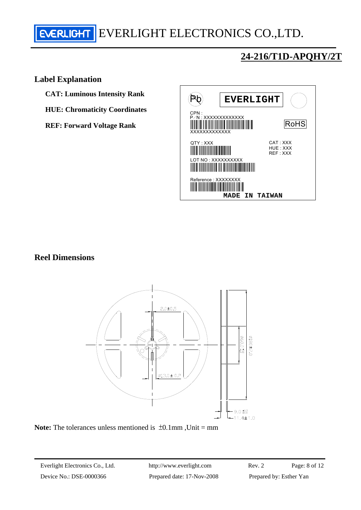## **24-216/T1D-APQHY/2T**

#### **Label Explanation**

**CAT: Luminous Intensity Rank** 

**HUE: Chromaticity Coordinates** 

**REF: Forward Voltage Rank** 



#### **Reel Dimensions**



**Note:** The tolerances unless mentioned is  $\pm 0.1$ mm, Unit = mm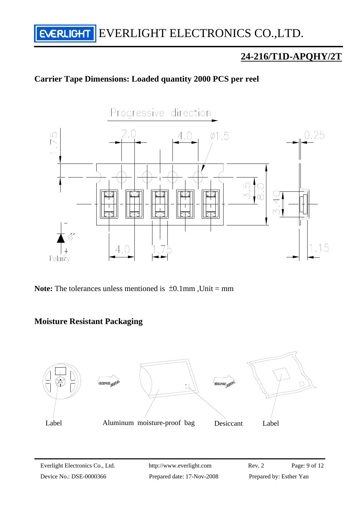## **24-216/T1D-APQHY/2T**

## **Carrier Tape Dimensions: Loaded quantity 2000 PCS per reel**



Note: The tolerances unless mentioned is  $\pm 0.1$ mm. Unit = mm

#### **Moisture Resistant Packaging**

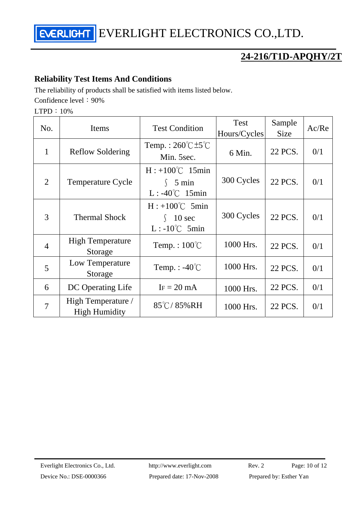## **24-216/T1D-APQHY/2T**

#### **Reliability Test Items And Conditions**

The reliability of products shall be satisfied with items listed below. Confidence level: 90%

LTPD:10%

| No.            | Items                                      | <b>Test Condition</b>                                                  | Test<br>Hours/Cycles | Sample<br><b>Size</b> | Ac/Re |
|----------------|--------------------------------------------|------------------------------------------------------------------------|----------------------|-----------------------|-------|
| $\mathbf{1}$   | <b>Reflow Soldering</b>                    | Temp.: $260^{\circ}$ C $\pm 5^{\circ}$ C<br>Min. 5sec.                 | 6 Min.               | 22 PCS.               | 0/1   |
| $\mathcal{L}$  | <b>Temperature Cycle</b>                   | $H: +100^{\circ}C$ 15min<br>$\int$ 5 min<br>$L: -40^{\circ}C$ 15min    | 300 Cycles           | 22 PCS.               | 0/1   |
| 3              | <b>Thermal Shock</b>                       | $H: +100^{\circ}C$ 5min<br>10 <sub>sec</sub><br>$L: -10^{\circ}C$ 5min | 300 Cycles           | 22 PCS.               | 0/1   |
| $\overline{4}$ | <b>High Temperature</b><br>Storage         | Temp.: $100^{\circ}$ C                                                 | 1000 Hrs.            | 22 PCS.               | 0/1   |
| 5              | Low Temperature<br>Storage                 | Temp. : $-40^{\circ}$ C                                                | 1000 Hrs.            | 22 PCS.               | 0/1   |
| 6              | DC Operating Life                          | $IF = 20 mA$                                                           | 1000 Hrs.            | 22 PCS.               | 0/1   |
| $\overline{7}$ | High Temperature /<br><b>High Humidity</b> | $85^{\circ}$ C/85%RH                                                   | 1000 Hrs.            | 22 PCS.               | 0/1   |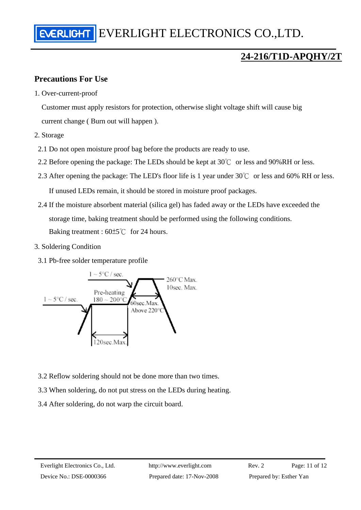#### **Precautions For Use**

1. Over-current-proof

Customer must apply resistors for protection, otherwise slight voltage shift will cause big current change ( Burn out will happen ).

- 2. Storage
	- 2.1 Do not open moisture proof bag before the products are ready to use.
- 2.2 Before opening the package: The LEDs should be kept at  $30^{\circ}$  or less and 90%RH or less.
- 2.3 After opening the package: The LED's floor life is 1 year under 30℃ or less and 60% RH or less. If unused LEDs remain, it should be stored in moisture proof packages.
- 2.4 If the moisture absorbent material (silica gel) has faded away or the LEDs have exceeded the storage time, baking treatment should be performed using the following conditions. Baking treatment : 60±5℃ for 24 hours.
- 3. Soldering Condition
	- 3.1 Pb-free solder temperature profile



- 3.2 Reflow soldering should not be done more than two times.
- 3.3 When soldering, do not put stress on the LEDs during heating.
- 3.4 After soldering, do not warp the circuit board.